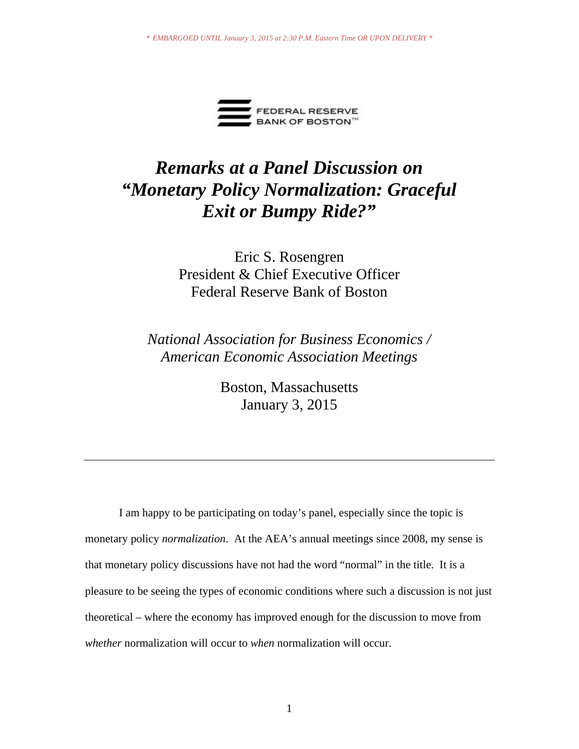

# *Remarks at a Panel Discussion on "Monetary Policy Normalization: Graceful Exit or Bumpy Ride?"*

# Eric S. Rosengren President & Chief Executive Officer Federal Reserve Bank of Boston

*National Association for Business Economics / American Economic Association Meetings*

> Boston, Massachusetts January 3, 2015

I am happy to be participating on today's panel, especially since the topic is monetary policy *normalization*. At the AEA's annual meetings since 2008, my sense is that monetary policy discussions have not had the word "normal" in the title. It is a pleasure to be seeing the types of economic conditions where such a discussion is not just theoretical – where the economy has improved enough for the discussion to move from *whether* normalization will occur to *when* normalization will occur.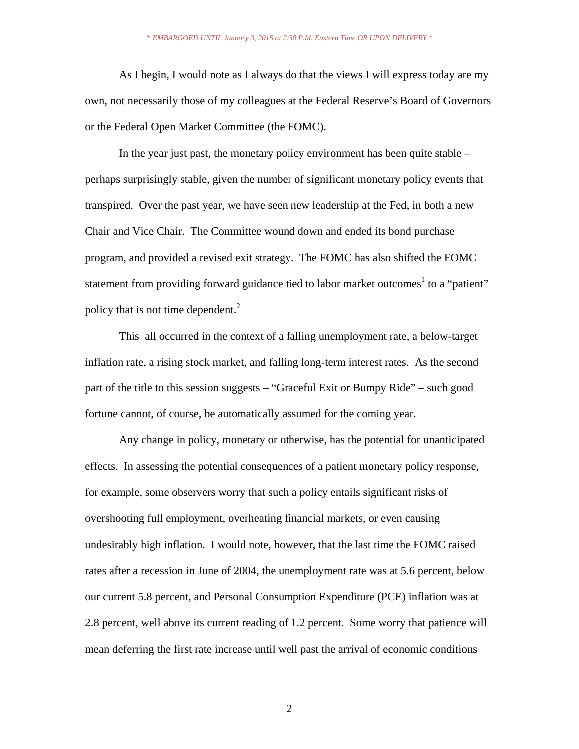As I begin, I would note as I always do that the views I will express today are my own, not necessarily those of my colleagues at the Federal Reserve's Board of Governors or the Federal Open Market Committee (the FOMC).

 In the year just past, the monetary policy environment has been quite stable – perhaps surprisingly stable, given the number of significant monetary policy events that transpired. Over the past year, we have seen new leadership at the Fed, in both a new Chair and Vice Chair. The Committee wound down and ended its bond purchase program, and provided a revised exit strategy. The FOMC has also shifted the FOMC statement from providing forward guidance tied to labor market outcomes<sup>1</sup> to a "patient" policy that is not time dependent. $^{2}$ 

This all occurred in the context of a falling unemployment rate, a below-target inflation rate, a rising stock market, and falling long-term interest rates. As the second part of the title to this session suggests – "Graceful Exit or Bumpy Ride" – such good fortune cannot, of course, be automatically assumed for the coming year.

 Any change in policy, monetary or otherwise, has the potential for unanticipated effects. In assessing the potential consequences of a patient monetary policy response, for example, some observers worry that such a policy entails significant risks of overshooting full employment, overheating financial markets, or even causing undesirably high inflation. I would note, however, that the last time the FOMC raised rates after a recession in June of 2004, the unemployment rate was at 5.6 percent, below our current 5.8 percent, and Personal Consumption Expenditure (PCE) inflation was at 2.8 percent, well above its current reading of 1.2 percent. Some worry that patience will mean deferring the first rate increase until well past the arrival of economic conditions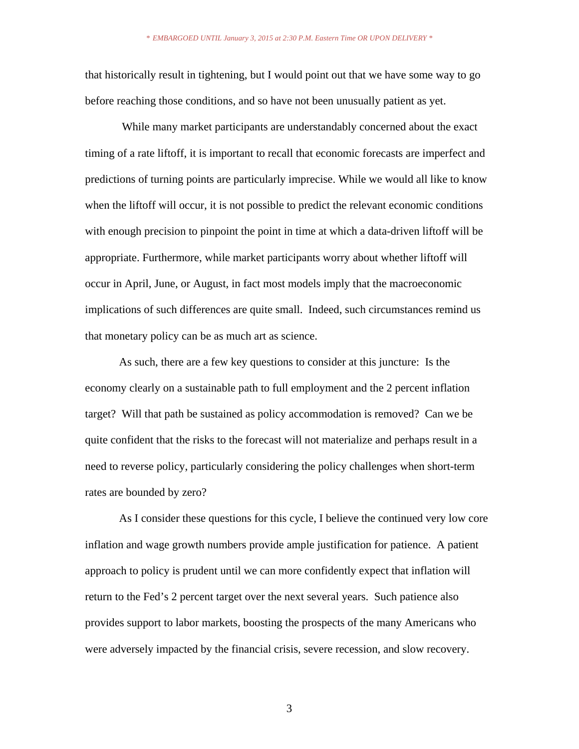that historically result in tightening, but I would point out that we have some way to go before reaching those conditions, and so have not been unusually patient as yet.

 While many market participants are understandably concerned about the exact timing of a rate liftoff, it is important to recall that economic forecasts are imperfect and predictions of turning points are particularly imprecise. While we would all like to know when the liftoff will occur, it is not possible to predict the relevant economic conditions with enough precision to pinpoint the point in time at which a data-driven liftoff will be appropriate. Furthermore, while market participants worry about whether liftoff will occur in April, June, or August, in fact most models imply that the macroeconomic implications of such differences are quite small. Indeed, such circumstances remind us that monetary policy can be as much art as science.

As such, there are a few key questions to consider at this juncture: Is the economy clearly on a sustainable path to full employment and the 2 percent inflation target? Will that path be sustained as policy accommodation is removed? Can we be quite confident that the risks to the forecast will not materialize and perhaps result in a need to reverse policy, particularly considering the policy challenges when short-term rates are bounded by zero?

As I consider these questions for this cycle, I believe the continued very low core inflation and wage growth numbers provide ample justification for patience. A patient approach to policy is prudent until we can more confidently expect that inflation will return to the Fed's 2 percent target over the next several years. Such patience also provides support to labor markets, boosting the prospects of the many Americans who were adversely impacted by the financial crisis, severe recession, and slow recovery.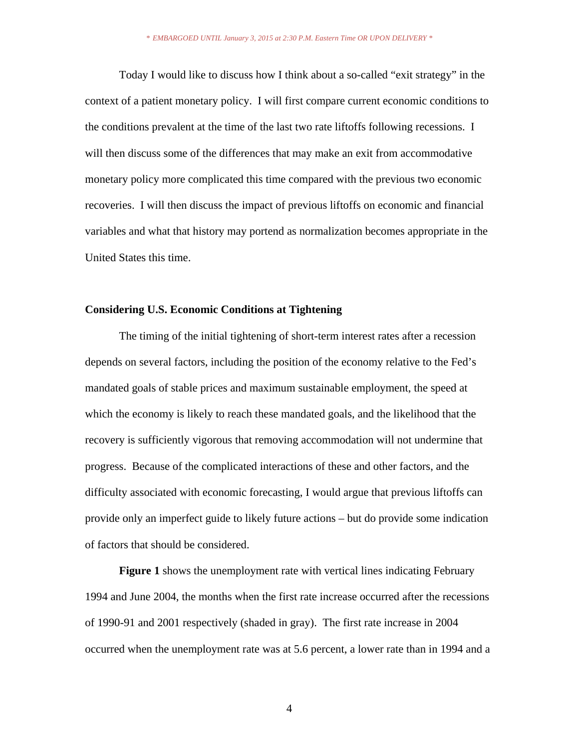Today I would like to discuss how I think about a so-called "exit strategy" in the context of a patient monetary policy. I will first compare current economic conditions to the conditions prevalent at the time of the last two rate liftoffs following recessions. I will then discuss some of the differences that may make an exit from accommodative monetary policy more complicated this time compared with the previous two economic recoveries. I will then discuss the impact of previous liftoffs on economic and financial variables and what that history may portend as normalization becomes appropriate in the United States this time.

# **Considering U.S. Economic Conditions at Tightening**

The timing of the initial tightening of short-term interest rates after a recession depends on several factors, including the position of the economy relative to the Fed's mandated goals of stable prices and maximum sustainable employment, the speed at which the economy is likely to reach these mandated goals, and the likelihood that the recovery is sufficiently vigorous that removing accommodation will not undermine that progress. Because of the complicated interactions of these and other factors, and the difficulty associated with economic forecasting, I would argue that previous liftoffs can provide only an imperfect guide to likely future actions – but do provide some indication of factors that should be considered.

 **Figure 1** shows the unemployment rate with vertical lines indicating February 1994 and June 2004, the months when the first rate increase occurred after the recessions of 1990-91 and 2001 respectively (shaded in gray). The first rate increase in 2004 occurred when the unemployment rate was at 5.6 percent, a lower rate than in 1994 and a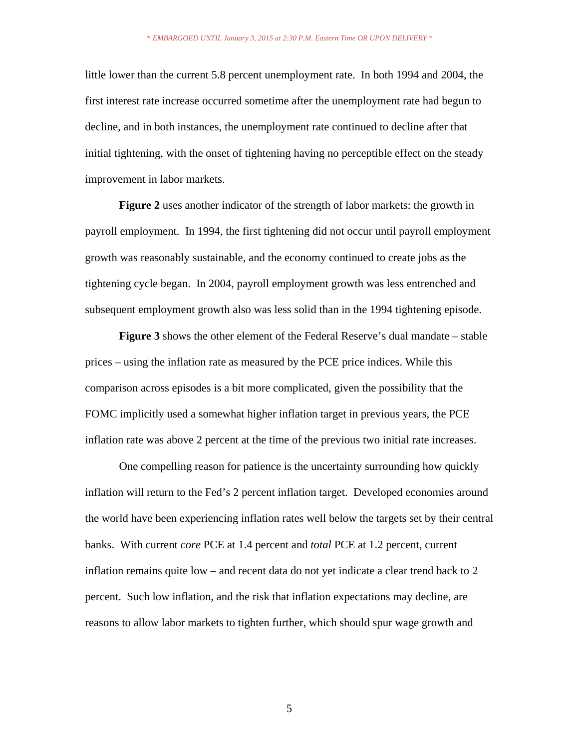little lower than the current 5.8 percent unemployment rate. In both 1994 and 2004, the first interest rate increase occurred sometime after the unemployment rate had begun to decline, and in both instances, the unemployment rate continued to decline after that initial tightening, with the onset of tightening having no perceptible effect on the steady improvement in labor markets.

**Figure 2** uses another indicator of the strength of labor markets: the growth in payroll employment. In 1994, the first tightening did not occur until payroll employment growth was reasonably sustainable, and the economy continued to create jobs as the tightening cycle began. In 2004, payroll employment growth was less entrenched and subsequent employment growth also was less solid than in the 1994 tightening episode.

**Figure 3** shows the other element of the Federal Reserve's dual mandate – stable prices – using the inflation rate as measured by the PCE price indices. While this comparison across episodes is a bit more complicated, given the possibility that the FOMC implicitly used a somewhat higher inflation target in previous years, the PCE inflation rate was above 2 percent at the time of the previous two initial rate increases.

One compelling reason for patience is the uncertainty surrounding how quickly inflation will return to the Fed's 2 percent inflation target. Developed economies around the world have been experiencing inflation rates well below the targets set by their central banks. With current *core* PCE at 1.4 percent and *total* PCE at 1.2 percent, current inflation remains quite low – and recent data do not yet indicate a clear trend back to 2 percent. Such low inflation, and the risk that inflation expectations may decline, are reasons to allow labor markets to tighten further, which should spur wage growth and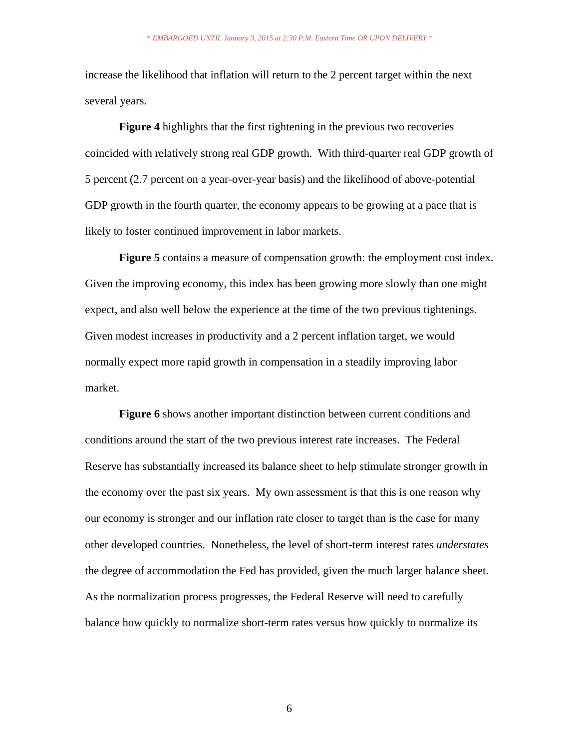increase the likelihood that inflation will return to the 2 percent target within the next several years.

**Figure 4** highlights that the first tightening in the previous two recoveries coincided with relatively strong real GDP growth. With third-quarter real GDP growth of 5 percent (2.7 percent on a year-over-year basis) and the likelihood of above-potential GDP growth in the fourth quarter, the economy appears to be growing at a pace that is likely to foster continued improvement in labor markets.

**Figure 5** contains a measure of compensation growth: the employment cost index. Given the improving economy, this index has been growing more slowly than one might expect, and also well below the experience at the time of the two previous tightenings. Given modest increases in productivity and a 2 percent inflation target, we would normally expect more rapid growth in compensation in a steadily improving labor market.

**Figure 6** shows another important distinction between current conditions and conditions around the start of the two previous interest rate increases. The Federal Reserve has substantially increased its balance sheet to help stimulate stronger growth in the economy over the past six years. My own assessment is that this is one reason why our economy is stronger and our inflation rate closer to target than is the case for many other developed countries. Nonetheless, the level of short-term interest rates *understates* the degree of accommodation the Fed has provided, given the much larger balance sheet. As the normalization process progresses, the Federal Reserve will need to carefully balance how quickly to normalize short-term rates versus how quickly to normalize its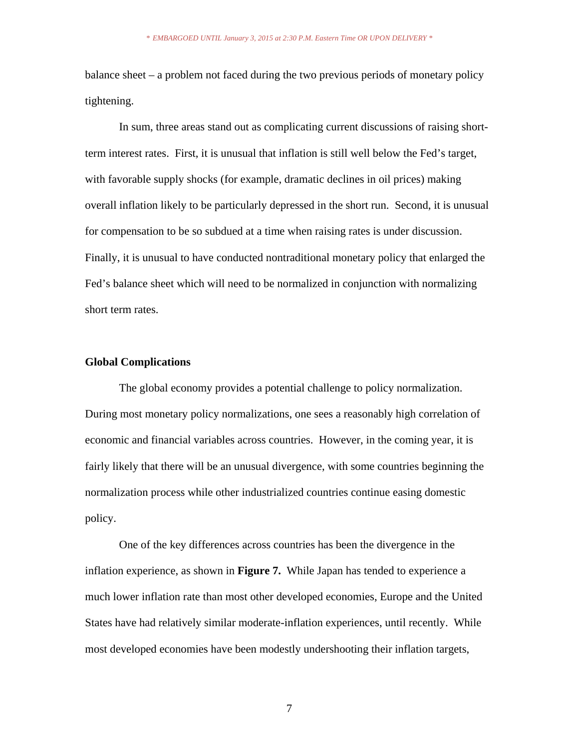balance sheet – a problem not faced during the two previous periods of monetary policy tightening.

In sum, three areas stand out as complicating current discussions of raising shortterm interest rates. First, it is unusual that inflation is still well below the Fed's target, with favorable supply shocks (for example, dramatic declines in oil prices) making overall inflation likely to be particularly depressed in the short run. Second, it is unusual for compensation to be so subdued at a time when raising rates is under discussion. Finally, it is unusual to have conducted nontraditional monetary policy that enlarged the Fed's balance sheet which will need to be normalized in conjunction with normalizing short term rates.

#### **Global Complications**

The global economy provides a potential challenge to policy normalization. During most monetary policy normalizations, one sees a reasonably high correlation of economic and financial variables across countries. However, in the coming year, it is fairly likely that there will be an unusual divergence, with some countries beginning the normalization process while other industrialized countries continue easing domestic policy.

One of the key differences across countries has been the divergence in the inflation experience, as shown in **Figure 7.** While Japan has tended to experience a much lower inflation rate than most other developed economies, Europe and the United States have had relatively similar moderate-inflation experiences, until recently. While most developed economies have been modestly undershooting their inflation targets,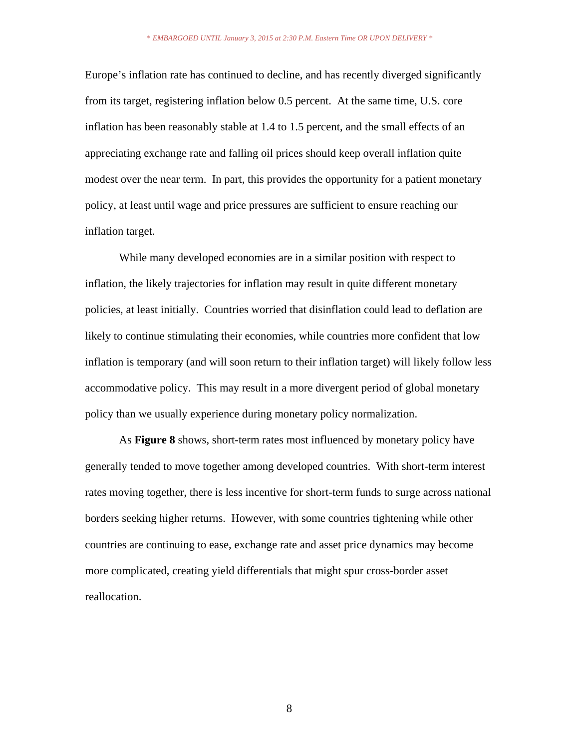Europe's inflation rate has continued to decline, and has recently diverged significantly from its target, registering inflation below 0.5 percent. At the same time, U.S. core inflation has been reasonably stable at 1.4 to 1.5 percent, and the small effects of an appreciating exchange rate and falling oil prices should keep overall inflation quite modest over the near term. In part, this provides the opportunity for a patient monetary policy, at least until wage and price pressures are sufficient to ensure reaching our inflation target.

While many developed economies are in a similar position with respect to inflation, the likely trajectories for inflation may result in quite different monetary policies, at least initially. Countries worried that disinflation could lead to deflation are likely to continue stimulating their economies, while countries more confident that low inflation is temporary (and will soon return to their inflation target) will likely follow less accommodative policy. This may result in a more divergent period of global monetary policy than we usually experience during monetary policy normalization.

 As **Figure 8** shows, short-term rates most influenced by monetary policy have generally tended to move together among developed countries. With short-term interest rates moving together, there is less incentive for short-term funds to surge across national borders seeking higher returns. However, with some countries tightening while other countries are continuing to ease, exchange rate and asset price dynamics may become more complicated, creating yield differentials that might spur cross-border asset reallocation.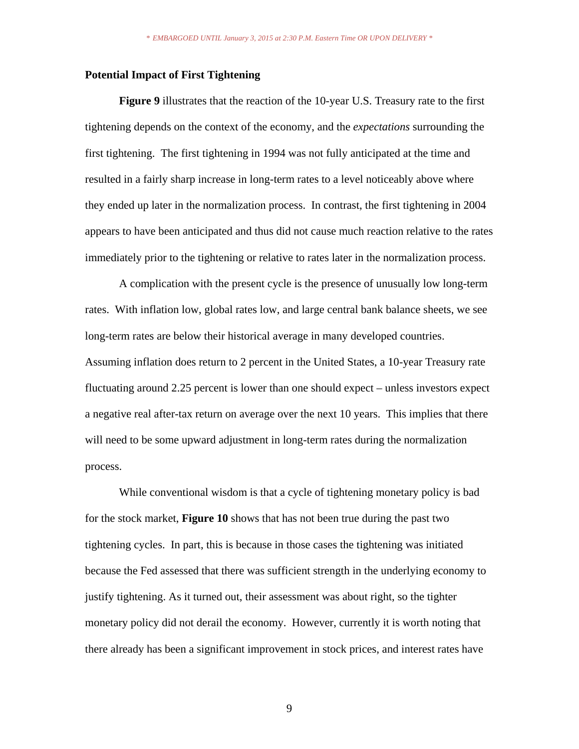## **Potential Impact of First Tightening**

**Figure 9** illustrates that the reaction of the 10-year U.S. Treasury rate to the first tightening depends on the context of the economy, and the *expectations* surrounding the first tightening. The first tightening in 1994 was not fully anticipated at the time and resulted in a fairly sharp increase in long-term rates to a level noticeably above where they ended up later in the normalization process. In contrast, the first tightening in 2004 appears to have been anticipated and thus did not cause much reaction relative to the rates immediately prior to the tightening or relative to rates later in the normalization process.

A complication with the present cycle is the presence of unusually low long-term rates. With inflation low, global rates low, and large central bank balance sheets, we see long-term rates are below their historical average in many developed countries. Assuming inflation does return to 2 percent in the United States, a 10-year Treasury rate fluctuating around 2.25 percent is lower than one should expect – unless investors expect a negative real after-tax return on average over the next 10 years. This implies that there will need to be some upward adjustment in long-term rates during the normalization process.

While conventional wisdom is that a cycle of tightening monetary policy is bad for the stock market, **Figure 10** shows that has not been true during the past two tightening cycles. In part, this is because in those cases the tightening was initiated because the Fed assessed that there was sufficient strength in the underlying economy to justify tightening. As it turned out, their assessment was about right, so the tighter monetary policy did not derail the economy. However, currently it is worth noting that there already has been a significant improvement in stock prices, and interest rates have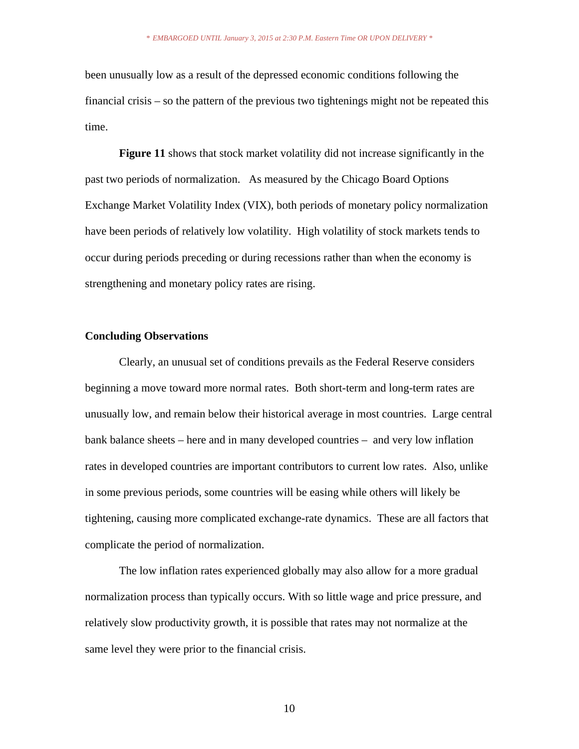been unusually low as a result of the depressed economic conditions following the financial crisis – so the pattern of the previous two tightenings might not be repeated this time.

**Figure 11** shows that stock market volatility did not increase significantly in the past two periods of normalization. As measured by the Chicago Board Options Exchange Market Volatility Index (VIX), both periods of monetary policy normalization have been periods of relatively low volatility. High volatility of stock markets tends to occur during periods preceding or during recessions rather than when the economy is strengthening and monetary policy rates are rising.

## **Concluding Observations**

Clearly, an unusual set of conditions prevails as the Federal Reserve considers beginning a move toward more normal rates. Both short-term and long-term rates are unusually low, and remain below their historical average in most countries. Large central bank balance sheets – here and in many developed countries – and very low inflation rates in developed countries are important contributors to current low rates. Also, unlike in some previous periods, some countries will be easing while others will likely be tightening, causing more complicated exchange-rate dynamics. These are all factors that complicate the period of normalization.

The low inflation rates experienced globally may also allow for a more gradual normalization process than typically occurs. With so little wage and price pressure, and relatively slow productivity growth, it is possible that rates may not normalize at the same level they were prior to the financial crisis.